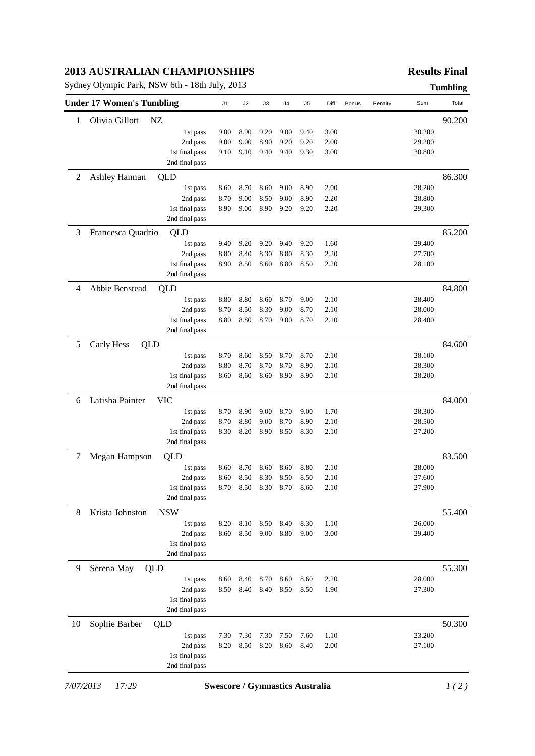## **2013 AUSTRALIAN CHAMPIONSHIPS**

Sydney Olympic Park, NSW 6th - 18th July, 2013 **Tumbling**

# **Results Final**

|    | <b>Under 17 Women's Tumbling</b> |                | J1   | J2   | J3   | J4   | J <sub>5</sub> | Diff | Bonus | Penalty | Sum    | Total  |
|----|----------------------------------|----------------|------|------|------|------|----------------|------|-------|---------|--------|--------|
| 1  | Olivia Gillott                   | NZ             |      |      |      |      |                |      |       |         |        | 90.200 |
|    |                                  | 1st pass       | 9.00 | 8.90 | 9.20 | 9.00 | 9.40           | 3.00 |       |         | 30.200 |        |
|    |                                  | 2nd pass       | 9.00 | 9.00 | 8.90 | 9.20 | 9.20           | 2.00 |       |         | 29.200 |        |
|    |                                  | 1st final pass | 9.10 | 9.10 | 9.40 | 9.40 | 9.30           | 3.00 |       |         | 30.800 |        |
|    |                                  | 2nd final pass |      |      |      |      |                |      |       |         |        |        |
| 2  | Ashley Hannan                    | QLD            |      |      |      |      |                |      |       |         |        | 86.300 |
|    |                                  | 1st pass       | 8.60 | 8.70 | 8.60 | 9.00 | 8.90           | 2.00 |       |         | 28.200 |        |
|    |                                  | 2nd pass       | 8.70 | 9.00 | 8.50 | 9.00 | 8.90           | 2.20 |       |         | 28.800 |        |
|    |                                  | 1st final pass | 8.90 | 9.00 | 8.90 | 9.20 | 9.20           | 2.20 |       |         | 29.300 |        |
|    |                                  | 2nd final pass |      |      |      |      |                |      |       |         |        |        |
| 3  | Francesca Quadrio                | QLD            |      |      |      |      |                |      |       |         |        | 85.200 |
|    |                                  | 1st pass       | 9.40 | 9.20 | 9.20 | 9.40 | 9.20           | 1.60 |       |         | 29.400 |        |
|    |                                  | 2nd pass       | 8.80 | 8.40 | 8.30 | 8.80 | 8.30           | 2.20 |       |         | 27.700 |        |
|    |                                  | 1st final pass | 8.90 | 8.50 | 8.60 | 8.80 | 8.50           | 2.20 |       |         | 28.100 |        |
|    |                                  | 2nd final pass |      |      |      |      |                |      |       |         |        |        |
| 4  | Abbie Benstead                   | QLD            |      |      |      |      |                |      |       |         |        | 84.800 |
|    |                                  | 1st pass       | 8.80 | 8.80 | 8.60 | 8.70 | 9.00           | 2.10 |       |         | 28.400 |        |
|    |                                  | 2nd pass       | 8.70 | 8.50 | 8.30 | 9.00 | 8.70           | 2.10 |       |         | 28.000 |        |
|    |                                  | 1st final pass | 8.80 | 8.80 | 8.70 | 9.00 | 8.70           | 2.10 |       |         | 28.400 |        |
|    |                                  | 2nd final pass |      |      |      |      |                |      |       |         |        |        |
| 5  | Carly Hess<br>QLD                |                |      |      |      |      |                |      |       |         |        | 84.600 |
|    |                                  | 1st pass       | 8.70 | 8.60 | 8.50 | 8.70 | 8.70           | 2.10 |       |         | 28.100 |        |
|    |                                  | 2nd pass       | 8.80 | 8.70 | 8.70 | 8.70 | 8.90           | 2.10 |       |         | 28.300 |        |
|    |                                  | 1st final pass | 8.60 | 8.60 | 8.60 | 8.90 | 8.90           | 2.10 |       |         | 28.200 |        |
|    |                                  | 2nd final pass |      |      |      |      |                |      |       |         |        |        |
| 6  | Latisha Painter                  | <b>VIC</b>     |      |      |      |      |                |      |       |         |        | 84.000 |
|    |                                  | 1st pass       | 8.70 | 8.90 | 9.00 | 8.70 | 9.00           | 1.70 |       |         | 28.300 |        |
|    |                                  | 2nd pass       | 8.70 | 8.80 | 9.00 | 8.70 | 8.90           | 2.10 |       |         | 28.500 |        |
|    |                                  | 1st final pass | 8.30 | 8.20 | 8.90 | 8.50 | 8.30           | 2.10 |       |         | 27.200 |        |
|    |                                  | 2nd final pass |      |      |      |      |                |      |       |         |        |        |
| 7  | Megan Hampson                    | QLD            |      |      |      |      |                |      |       |         |        | 83.500 |
|    |                                  | 1st pass       | 8.60 | 8.70 | 8.60 | 8.60 | 8.80           | 2.10 |       |         | 28.000 |        |
|    |                                  | 2nd pass       | 8.60 | 8.50 | 8.30 | 8.50 | 8.50           | 2.10 |       |         | 27.600 |        |
|    |                                  | 1st final pass | 8.70 | 8.50 | 8.30 | 8.70 | 8.60           | 2.10 |       |         | 27.900 |        |
|    |                                  | 2nd final pass |      |      |      |      |                |      |       |         |        |        |
| 8  | Krista Johnston                  | <b>NSW</b>     |      |      |      |      |                |      |       |         |        | 55.400 |
|    |                                  | 1st pass       | 8.20 | 8.10 | 8.50 | 8.40 | 8.30           | 1.10 |       |         | 26.000 |        |
|    |                                  | 2nd pass       | 8.60 | 8.50 | 9.00 | 8.80 | 9.00           | 3.00 |       |         | 29.400 |        |
|    |                                  | 1st final pass |      |      |      |      |                |      |       |         |        |        |
|    |                                  | 2nd final pass |      |      |      |      |                |      |       |         |        |        |
| 9  | Serena May                       | QLD            |      |      |      |      |                |      |       |         |        | 55.300 |
|    |                                  | 1st pass       | 8.60 | 8.40 | 8.70 | 8.60 | 8.60           | 2.20 |       |         | 28.000 |        |
|    |                                  | 2nd pass       | 8.50 | 8.40 | 8.40 | 8.50 | 8.50           | 1.90 |       |         | 27.300 |        |
|    |                                  | 1st final pass |      |      |      |      |                |      |       |         |        |        |
|    |                                  | 2nd final pass |      |      |      |      |                |      |       |         |        |        |
| 10 | Sophie Barber                    | QLD            |      |      |      |      |                |      |       |         |        | 50.300 |
|    |                                  | 1st pass       | 7.30 | 7.30 | 7.30 | 7.50 | 7.60           | 1.10 |       |         | 23.200 |        |
|    |                                  | 2nd pass       | 8.20 | 8.50 | 8.20 | 8.60 | 8.40           | 2.00 |       |         | 27.100 |        |
|    |                                  | 1st final pass |      |      |      |      |                |      |       |         |        |        |
|    |                                  | 2nd final pass |      |      |      |      |                |      |       |         |        |        |